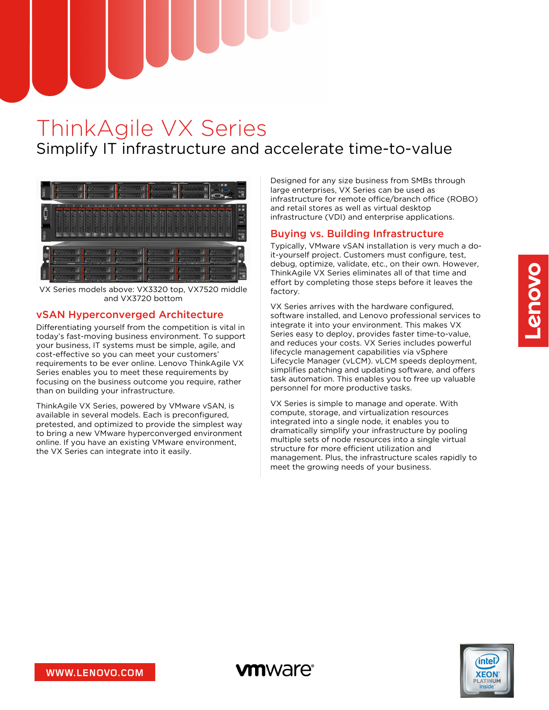# ThinkAgile VX Series Simplify IT infrastructure and accelerate time-to-value

**vm**ware<sup>®</sup>



VX Series models above: VX3320 top, VX7520 middle and VX3720 bottom

## vSAN Hyperconverged Architecture

Differentiating yourself from the competition is vital in today's fast-moving business environment. To support your business, IT systems must be simple, agile, and cost-effective so you can meet your customers' requirements to be ever online. Lenovo ThinkAgile VX Series enables you to meet these requirements by focusing on the business outcome you require, rather than on building your infrastructure.

ThinkAgile VX Series, powered by VMware vSAN, is available in several models. Each is preconfigured, pretested, and optimized to provide the simplest way to bring a new VMware hyperconverged environment online. If you have an existing VMware environment, the VX Series can integrate into it easily.

Designed for any size business from SMBs through large enterprises, VX Series can be used as infrastructure for remote office/branch office (ROBO) and retail stores as well as virtual desktop infrastructure (VDI) and enterprise applications.

## Buying vs. Building Infrastructure

Typically, VMware vSAN installation is very much a doit-yourself project. Customers must configure, test, debug, optimize, validate, etc., on their own. However, ThinkAgile VX Series eliminates all of that time and effort by completing those steps before it leaves the factory.

VX Series arrives with the hardware configured, software installed, and Lenovo professional services to integrate it into your environment. This makes VX Series easy to deploy, provides faster time-to-value, and reduces your costs. VX Series includes powerful lifecycle management capabilities via vSphere Lifecycle Manager (vLCM). vLCM speeds deployment, simplifies patching and updating software, and offers task automation. This enables you to free up valuable personnel for more productive tasks.

VX Series is simple to manage and operate. With compute, storage, and virtualization resources integrated into a single node, it enables you to dramatically simplify your infrastructure by pooling multiple sets of node resources into a single virtual structure for more efficient utilization and management. Plus, the infrastructure scales rapidly to meet the growing needs of your business.

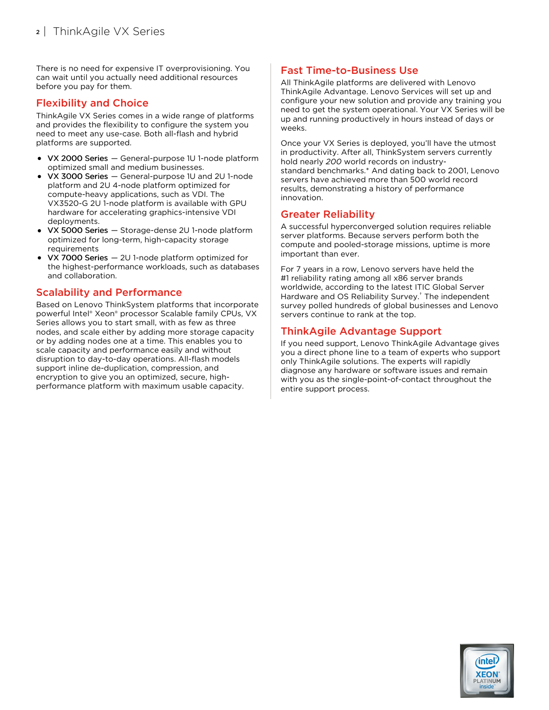There is no need for expensive IT overprovisioning. You can wait until you actually need additional resources before you pay for them.

#### Flexibility and Choice

ThinkAgile VX Series comes in a wide range of platforms and provides the flexibility to configure the system you need to meet any use-case. Both all-flash and hybrid platforms are supported.

- VX 2000 Series General-purpose 1U 1-node platform optimized small and medium businesses.
- VX 3000 Series General-purpose 1U and 2U 1-node platform and 2U 4-node platform optimized for compute-heavy applications, such as VDI. The VX3520-G 2U 1-node platform is available with GPU hardware for accelerating graphics-intensive VDI deployments.
- VX 5000 Series Storage-dense 2U 1-node platform optimized for long-term, high-capacity storage requirements
- VX 7000 Series 2U 1-node platform optimized for the highest-performance workloads, such as databases and collaboration.

## Scalability and Performance

Based on Lenovo ThinkSystem platforms that incorporate powerful Intel® Xeon® processor Scalable family CPUs, VX Series allows you to start small, with as few as three nodes, and scale either by adding more storage capacity or by adding nodes one at a time. This enables you to scale capacity and performance easily and without disruption to day-to-day operations. All-flash models support inline de-duplication, compression, and encryption to give you an optimized, secure, highperformance platform with maximum usable capacity.

## Fast Time-to-Business Use

All ThinkAgile platforms are delivered with Lenovo ThinkAgile Advantage. Lenovo Services will set up and configure your new solution and provide any training you need to get the system operational. Your VX Series will be up and running productively in hours instead of days or weeks.

Once your VX Series is deployed, you'll have the utmost in productivity. After all, ThinkSystem servers currently hold nearly *200* world records on industrystandard benchmarks.\* And dating back to 2001, Lenovo servers have achieved more than 500 world record results, demonstrating a history of performance innovation.

## Greater Reliability

A successful hyperconverged solution requires reliable server platforms. Because servers perform both the compute and pooled-storage missions, uptime is more important than ever.

For 7 years in a row, Lenovo servers have held the #1 reliability rating among all x86 server brands worldwide, according to the latest ITIC Global Server Hardware and OS Reliability Survey.<sup>†</sup> The independent survey polled hundreds of global businesses and Lenovo servers continue to rank at the top.

## ThinkAgile Advantage Support

If you need support, Lenovo ThinkAgile Advantage gives you a direct phone line to a team of experts who support only ThinkAgile solutions. The experts will rapidly diagnose any hardware or software issues and remain with you as the single-point-of-contact throughout the entire support process.

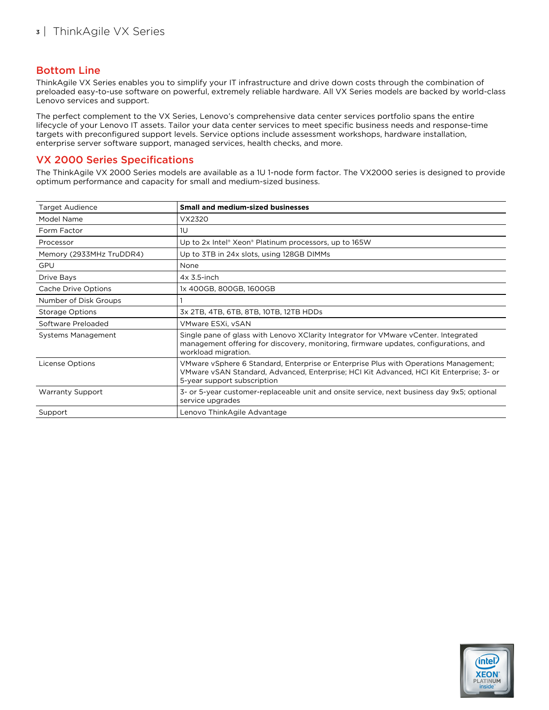#### Bottom Line

ThinkAgile VX Series enables you to simplify your IT infrastructure and drive down costs through the combination of preloaded easy-to-use software on powerful, extremely reliable hardware. All VX Series models are backed by world-class Lenovo services and support.

The perfect complement to the VX Series, Lenovo's comprehensive data center services portfolio spans the entire lifecycle of your Lenovo IT assets. Tailor your data center services to meet specific business needs and response-time targets with preconfigured support levels. Service options include assessment workshops, hardware installation, enterprise server software support, managed services, health checks, and more.

#### VX 2000 Series Specifications

The ThinkAgile VX 2000 Series models are available as a 1U 1-node form factor. The VX2000 series is designed to provide optimum performance and capacity for small and medium-sized business.

| <b>Target Audience</b>   | <b>Small and medium-sized businesses</b>                                                                                                                                                                       |  |  |
|--------------------------|----------------------------------------------------------------------------------------------------------------------------------------------------------------------------------------------------------------|--|--|
| Model Name               | VX2320                                                                                                                                                                                                         |  |  |
| Form Factor              | 1U                                                                                                                                                                                                             |  |  |
| Processor                | Up to 2x Intel® Xeon® Platinum processors, up to 165W                                                                                                                                                          |  |  |
| Memory (2933MHz TruDDR4) | Up to 3TB in 24x slots, using 128GB DIMMs                                                                                                                                                                      |  |  |
| <b>GPU</b>               | None                                                                                                                                                                                                           |  |  |
| <b>Drive Bays</b>        | $4x$ 3.5-inch                                                                                                                                                                                                  |  |  |
| Cache Drive Options      | 1x 400GB, 800GB, 1600GB                                                                                                                                                                                        |  |  |
| Number of Disk Groups    |                                                                                                                                                                                                                |  |  |
| Storage Options          | 3x 2TB, 4TB, 6TB, 8TB, 10TB, 12TB HDDs                                                                                                                                                                         |  |  |
| Software Preloaded       | VMware ESXi, vSAN                                                                                                                                                                                              |  |  |
| Systems Management       | Single pane of glass with Lenovo XClarity Integrator for VMware vCenter. Integrated<br>management offering for discovery, monitoring, firmware updates, configurations, and<br>workload migration.             |  |  |
| <b>License Options</b>   | VMware vSphere 6 Standard, Enterprise or Enterprise Plus with Operations Management;<br>VMware vSAN Standard, Advanced, Enterprise; HCI Kit Advanced, HCI Kit Enterprise; 3- or<br>5-year support subscription |  |  |
| <b>Warranty Support</b>  | 3- or 5-year customer-replaceable unit and onsite service, next business day 9x5; optional<br>service upgrades                                                                                                 |  |  |
| Support                  | Lenovo ThinkAgile Advantage                                                                                                                                                                                    |  |  |

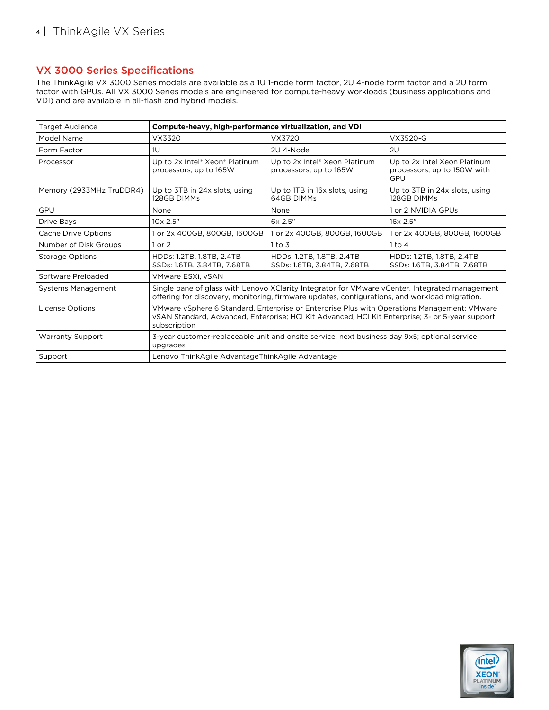## VX 3000 Series Specifications

The ThinkAgile VX 3000 Series models are available as a 1U 1-node form factor, 2U 4-node form factor and a 2U form factor with GPUs. All VX 3000 Series models are engineered for compute-heavy workloads (business applications and VDI) and are available in all-flash and hybrid models.

| <b>Target Audience</b>    | Compute-heavy, high-performance virtualization, and VDI                                                                                                                                                        |                                                          |                                                                    |  |  |
|---------------------------|----------------------------------------------------------------------------------------------------------------------------------------------------------------------------------------------------------------|----------------------------------------------------------|--------------------------------------------------------------------|--|--|
| Model Name                | VX3320                                                                                                                                                                                                         | VX3720                                                   | VX3520-G                                                           |  |  |
| Form Factor               | 1U                                                                                                                                                                                                             | 2U 4-Node                                                | 2U                                                                 |  |  |
| Processor                 | Up to 2x Intel® Xeon® Platinum<br>processors, up to 165W                                                                                                                                                       | Up to 2x Intel® Xeon Platinum<br>processors, up to 165W  | Up to 2x Intel Xeon Platinum<br>processors, up to 150W with<br>GPU |  |  |
| Memory (2933MHz TruDDR4)  | Up to 3TB in 24x slots, using<br>128GB DIMMs                                                                                                                                                                   | Up to 1TB in 16x slots, using<br>64GB DIMMs              | Up to 3TB in 24x slots, using<br>128GB DIMMs                       |  |  |
| GPU                       | None                                                                                                                                                                                                           | None                                                     | 1 or 2 NVIDIA GPUs                                                 |  |  |
| Drive Bays                | $10 \times 2.5$ "                                                                                                                                                                                              | 6x 2.5"                                                  | 16x 2.5"                                                           |  |  |
| Cache Drive Options       | 1 or 2x 400GB, 800GB, 1600GB                                                                                                                                                                                   | 1 or 2x 400GB, 800GB, 1600GB                             | 1 or 2x 400GB, 800GB, 1600GB                                       |  |  |
| Number of Disk Groups     | $1$ or $2$                                                                                                                                                                                                     | $1$ to $3$                                               | $1$ to $4$                                                         |  |  |
| <b>Storage Options</b>    | HDDs: 1.2TB, 1.8TB, 2.4TB<br>SSDs: 1.6TB, 3.84TB, 7.68TB                                                                                                                                                       | HDDs: 1.2TB, 1.8TB, 2.4TB<br>SSDs: 1.6TB, 3.84TB, 7.68TB | HDDs: 1.2TB, 1.8TB, 2.4TB<br>SSDs: 1.6TB, 3.84TB, 7.68TB           |  |  |
| Software Preloaded        | VMware ESXi. vSAN                                                                                                                                                                                              |                                                          |                                                                    |  |  |
| <b>Systems Management</b> | Single pane of glass with Lenovo XClarity Integrator for VMware vCenter. Integrated management<br>offering for discovery, monitoring, firmware updates, configurations, and workload migration.                |                                                          |                                                                    |  |  |
| License Options           | VMware vSphere 6 Standard, Enterprise or Enterprise Plus with Operations Management; VMware<br>vSAN Standard, Advanced, Enterprise; HCI Kit Advanced, HCI Kit Enterprise; 3- or 5-year support<br>subscription |                                                          |                                                                    |  |  |
| <b>Warranty Support</b>   | 3-year customer-replaceable unit and onsite service, next business day 9x5; optional service<br>upgrades                                                                                                       |                                                          |                                                                    |  |  |
| Support                   | Lenovo ThinkAgile AdvantageThinkAgile Advantage                                                                                                                                                                |                                                          |                                                                    |  |  |